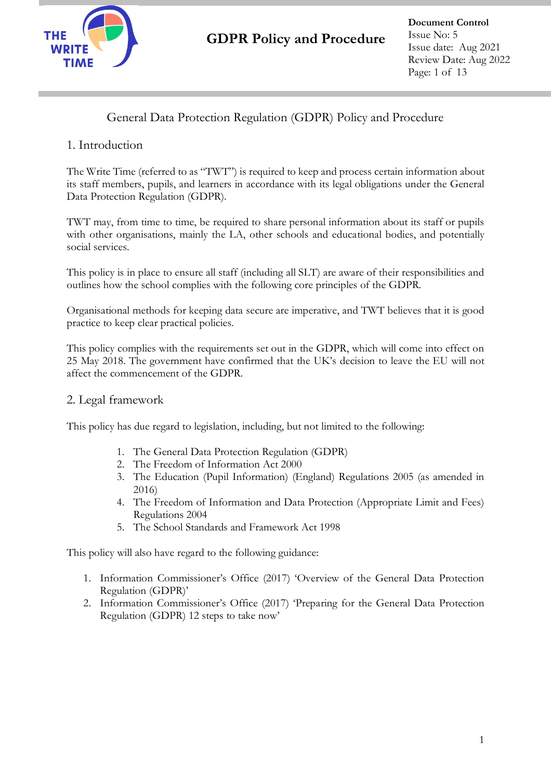

### General Data Protection Regulation (GDPR) Policy and Procedure

### 1. Introduction

The Write Time (referred to as "TWT") is required to keep and process certain information about its staff members, pupils, and learners in accordance with its legal obligations under the General Data Protection Regulation (GDPR).

TWT may, from time to time, be required to share personal information about its staff or pupils with other organisations, mainly the LA, other schools and educational bodies, and potentially social services.

This policy is in place to ensure all staff (including all SLT) are aware of their responsibilities and outlines how the school complies with the following core principles of the GDPR.

Organisational methods for keeping data secure are imperative, and TWT believes that it is good practice to keep clear practical policies.

This policy complies with the requirements set out in the GDPR, which will come into effect on 25 May 2018. The government have confirmed that the UK's decision to leave the EU will not affect the commencement of the GDPR.

#### 2. Legal framework

This policy has due regard to legislation, including, but not limited to the following:

- 1. The General Data Protection Regulation (GDPR)
- 2. The Freedom of Information Act 2000
- 3. The Education (Pupil Information) (England) Regulations 2005 (as amended in 2016)
- 4. The Freedom of Information and Data Protection (Appropriate Limit and Fees) Regulations 2004
- 5. The School Standards and Framework Act 1998

This policy will also have regard to the following guidance:

- 1. Information Commissioner's Office (2017) 'Overview of the General Data Protection Regulation (GDPR)'
- 2. Information Commissioner's Office (2017) 'Preparing for the General Data Protection Regulation (GDPR) 12 steps to take now'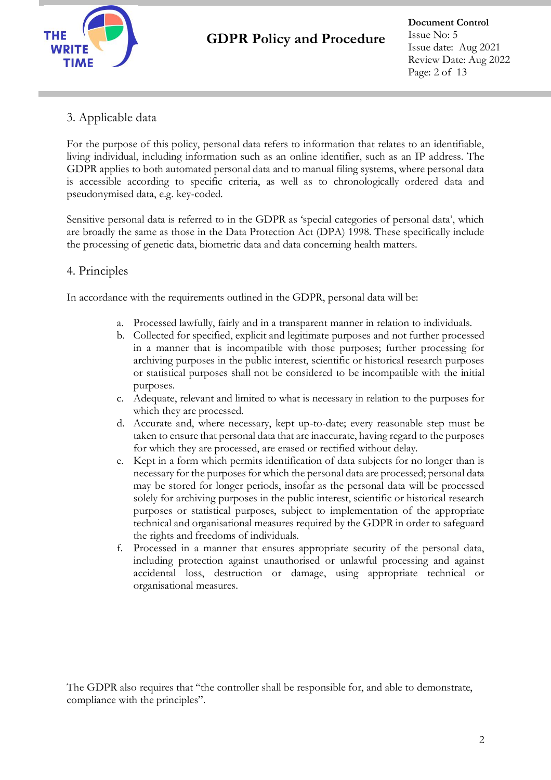

**Document Control** Issue No: 5 Issue date: Aug 2021 Review Date: Aug 2022 Page: 2 of 13

### 3. Applicable data

For the purpose of this policy, personal data refers to information that relates to an identifiable, living individual, including information such as an online identifier, such as an IP address. The GDPR applies to both automated personal data and to manual filing systems, where personal data is accessible according to specific criteria, as well as to chronologically ordered data and pseudonymised data, e.g. key-coded.

Sensitive personal data is referred to in the GDPR as 'special categories of personal data', which are broadly the same as those in the Data Protection Act (DPA) 1998. These specifically include the processing of genetic data, biometric data and data concerning health matters.

### 4. Principles

In accordance with the requirements outlined in the GDPR, personal data will be:

- a. Processed lawfully, fairly and in a transparent manner in relation to individuals.
- b. Collected for specified, explicit and legitimate purposes and not further processed in a manner that is incompatible with those purposes; further processing for archiving purposes in the public interest, scientific or historical research purposes or statistical purposes shall not be considered to be incompatible with the initial purposes.
- c. Adequate, relevant and limited to what is necessary in relation to the purposes for which they are processed.
- d. Accurate and, where necessary, kept up-to-date; every reasonable step must be taken to ensure that personal data that are inaccurate, having regard to the purposes for which they are processed, are erased or rectified without delay.
- e. Kept in a form which permits identification of data subjects for no longer than is necessary for the purposes for which the personal data are processed; personal data may be stored for longer periods, insofar as the personal data will be processed solely for archiving purposes in the public interest, scientific or historical research purposes or statistical purposes, subject to implementation of the appropriate technical and organisational measures required by the GDPR in order to safeguard the rights and freedoms of individuals.
- f. Processed in a manner that ensures appropriate security of the personal data, including protection against unauthorised or unlawful processing and against accidental loss, destruction or damage, using appropriate technical or organisational measures.

The GDPR also requires that "the controller shall be responsible for, and able to demonstrate, compliance with the principles".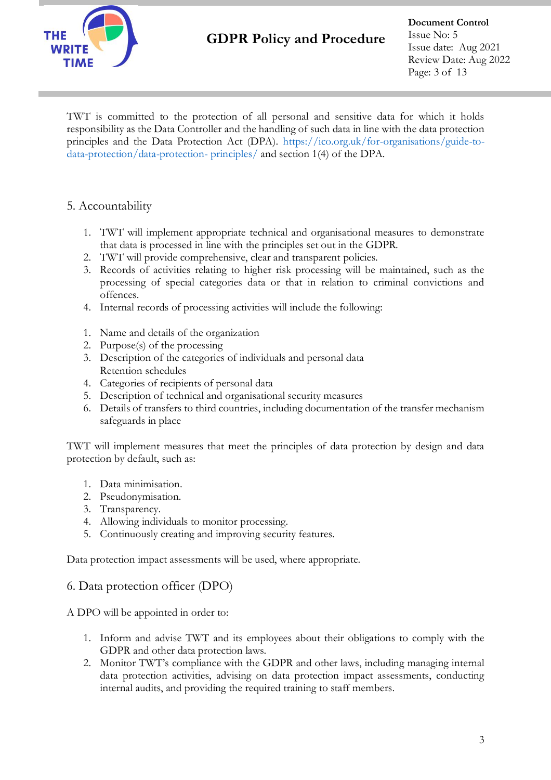

**Document Control** Issue No: 5 Issue date: Aug 2021 Review Date: Aug 2022 Page: 3 of 13

TWT is committed to the protection of all personal and sensitive data for which it holds responsibility as the Data Controller and the handling of such data in line with the data protection principles and the Data Protection Act (DPA). https://ico.org.uk/for-organisations/guide-todata-protection/data-protection- principles/ and section 1(4) of the DPA.

### 5. Accountability

- 1. TWT will implement appropriate technical and organisational measures to demonstrate that data is processed in line with the principles set out in the GDPR.
- 2. TWT will provide comprehensive, clear and transparent policies.
- 3. Records of activities relating to higher risk processing will be maintained, such as the processing of special categories data or that in relation to criminal convictions and offences.
- 4. Internal records of processing activities will include the following:
- 1. Name and details of the organization
- 2. Purpose(s) of the processing
- 3. Description of the categories of individuals and personal data Retention schedules
- 4. Categories of recipients of personal data
- 5. Description of technical and organisational security measures
- 6. Details of transfers to third countries, including documentation of the transfer mechanism safeguards in place

TWT will implement measures that meet the principles of data protection by design and data protection by default, such as:

- 1. Data minimisation.
- 2. Pseudonymisation.
- 3. Transparency.
- 4. Allowing individuals to monitor processing.
- 5. Continuously creating and improving security features.

Data protection impact assessments will be used, where appropriate.

#### 6. Data protection officer (DPO)

A DPO will be appointed in order to:

- 1. Inform and advise TWT and its employees about their obligations to comply with the GDPR and other data protection laws.
- 2. Monitor TWT's compliance with the GDPR and other laws, including managing internal data protection activities, advising on data protection impact assessments, conducting internal audits, and providing the required training to staff members.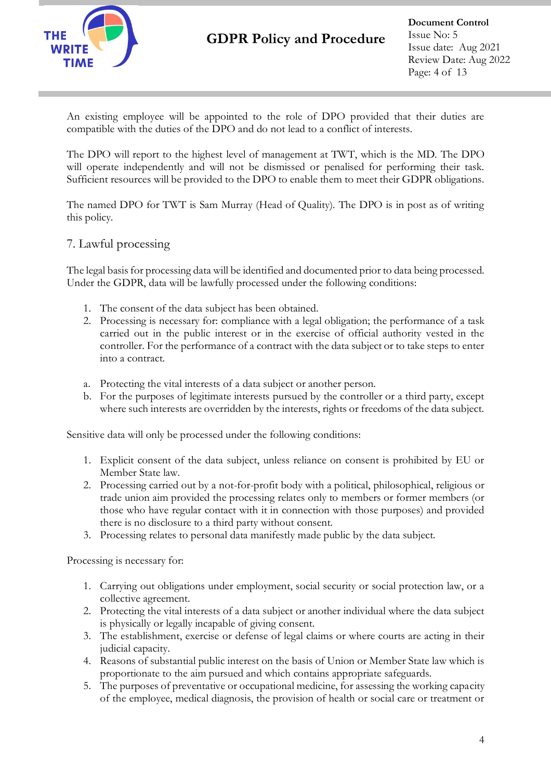

An existing employee will be appointed to the role of DPO provided that their duties are compatible with the duties of the DPO and do not lead to a conflict of interests.

The DPO will report to the highest level of management at TWT, which is the MD. The DPO will operate independently and will not be dismissed or penalised for performing their task. Sufficient resources will be provided to the DPO to enable them to meet their GDPR obligations.

The named DPO for TWT is Sam Murray (Head of Quality). The DPO is in post as of writing this policy.

### 7. Lawful processing

The legal basis for processing data will be identified and documented prior to data being processed. Under the GDPR, data will be lawfully processed under the following conditions:

- 1. The consent of the data subject has been obtained.
- 2. Processing is necessary for: compliance with a legal obligation; the performance of a task carried out in the public interest or in the exercise of official authority vested in the controller. For the performance of a contract with the data subject or to take steps to enter into a contract.
- a. Protecting the vital interests of a data subject or another person.
- b. For the purposes of legitimate interests pursued by the controller or a third party, except where such interests are overridden by the interests, rights or freedoms of the data subject.

Sensitive data will only be processed under the following conditions:

- 1. Explicit consent of the data subject, unless reliance on consent is prohibited by EU or Member State law.
- 2. Processing carried out by a not-for-profit body with a political, philosophical, religious or trade union aim provided the processing relates only to members or former members (or those who have regular contact with it in connection with those purposes) and provided there is no disclosure to a third party without consent.
- 3. Processing relates to personal data manifestly made public by the data subject.

Processing is necessary for:

- 1. Carrying out obligations under employment, social security or social protection law, or a collective agreement.
- 2. Protecting the vital interests of a data subject or another individual where the data subject is physically or legally incapable of giving consent.
- 3. The establishment, exercise or defense of legal claims or where courts are acting in their judicial capacity.
- 4. Reasons of substantial public interest on the basis of Union or Member State law which is proportionate to the aim pursued and which contains appropriate safeguards.
- 5. The purposes of preventative or occupational medicine, for assessing the working capacity of the employee, medical diagnosis, the provision of health or social care or treatment or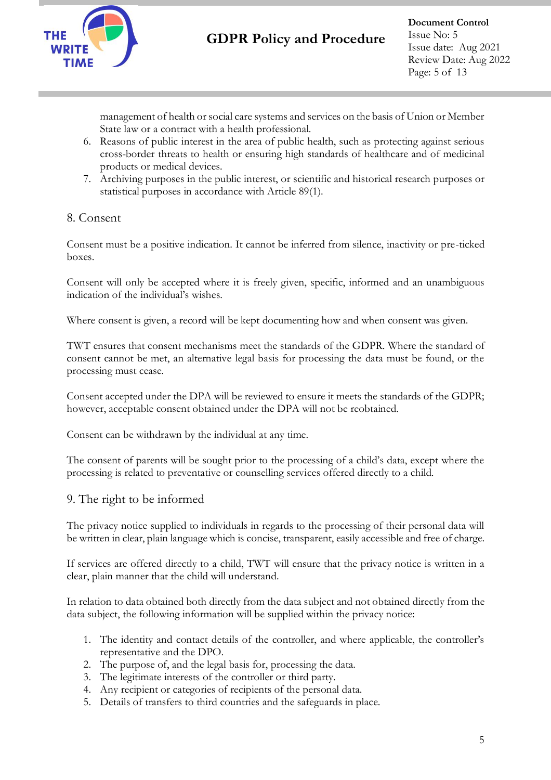

**Document Control** Issue No: 5 Issue date: Aug 2021 Review Date: Aug 2022 Page: 5 of 13

management of health or social care systems and services on the basis of Union or Member State law or a contract with a health professional.

- 6. Reasons of public interest in the area of public health, such as protecting against serious cross-border threats to health or ensuring high standards of healthcare and of medicinal products or medical devices.
- 7. Archiving purposes in the public interest, or scientific and historical research purposes or statistical purposes in accordance with Article 89(1).

### 8. Consent

Consent must be a positive indication. It cannot be inferred from silence, inactivity or pre-ticked boxes.

Consent will only be accepted where it is freely given, specific, informed and an unambiguous indication of the individual's wishes.

Where consent is given, a record will be kept documenting how and when consent was given.

TWT ensures that consent mechanisms meet the standards of the GDPR. Where the standard of consent cannot be met, an alternative legal basis for processing the data must be found, or the processing must cease.

Consent accepted under the DPA will be reviewed to ensure it meets the standards of the GDPR; however, acceptable consent obtained under the DPA will not be reobtained.

Consent can be withdrawn by the individual at any time.

The consent of parents will be sought prior to the processing of a child's data, except where the processing is related to preventative or counselling services offered directly to a child.

#### 9. The right to be informed

The privacy notice supplied to individuals in regards to the processing of their personal data will be written in clear, plain language which is concise, transparent, easily accessible and free of charge.

If services are offered directly to a child, TWT will ensure that the privacy notice is written in a clear, plain manner that the child will understand.

In relation to data obtained both directly from the data subject and not obtained directly from the data subject, the following information will be supplied within the privacy notice:

- 1. The identity and contact details of the controller, and where applicable, the controller's representative and the DPO.
- 2. The purpose of, and the legal basis for, processing the data.
- 3. The legitimate interests of the controller or third party.
- 4. Any recipient or categories of recipients of the personal data.
- 5. Details of transfers to third countries and the safeguards in place.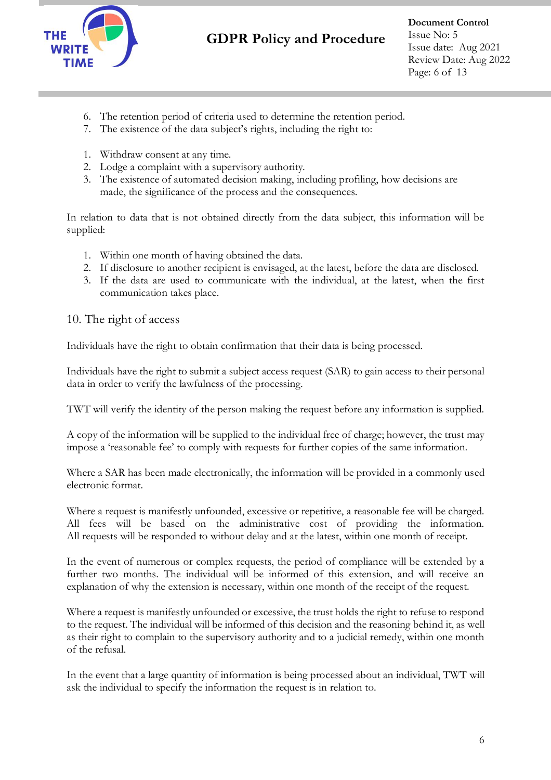

- 6. The retention period of criteria used to determine the retention period.
- 7. The existence of the data subject's rights, including the right to:
- 1. Withdraw consent at any time.
- 2. Lodge a complaint with a supervisory authority.
- 3. The existence of automated decision making, including profiling, how decisions are made, the significance of the process and the consequences.

In relation to data that is not obtained directly from the data subject, this information will be supplied:

- 1. Within one month of having obtained the data.
- 2. If disclosure to another recipient is envisaged, at the latest, before the data are disclosed.
- 3. If the data are used to communicate with the individual, at the latest, when the first communication takes place.

#### 10. The right of access

Individuals have the right to obtain confirmation that their data is being processed.

Individuals have the right to submit a subject access request (SAR) to gain access to their personal data in order to verify the lawfulness of the processing.

TWT will verify the identity of the person making the request before any information is supplied.

A copy of the information will be supplied to the individual free of charge; however, the trust may impose a 'reasonable fee' to comply with requests for further copies of the same information.

Where a SAR has been made electronically, the information will be provided in a commonly used electronic format.

Where a request is manifestly unfounded, excessive or repetitive, a reasonable fee will be charged. All fees will be based on the administrative cost of providing the information. All requests will be responded to without delay and at the latest, within one month of receipt.

In the event of numerous or complex requests, the period of compliance will be extended by a further two months. The individual will be informed of this extension, and will receive an explanation of why the extension is necessary, within one month of the receipt of the request.

Where a request is manifestly unfounded or excessive, the trust holds the right to refuse to respond to the request. The individual will be informed of this decision and the reasoning behind it, as well as their right to complain to the supervisory authority and to a judicial remedy, within one month of the refusal.

In the event that a large quantity of information is being processed about an individual, TWT will ask the individual to specify the information the request is in relation to.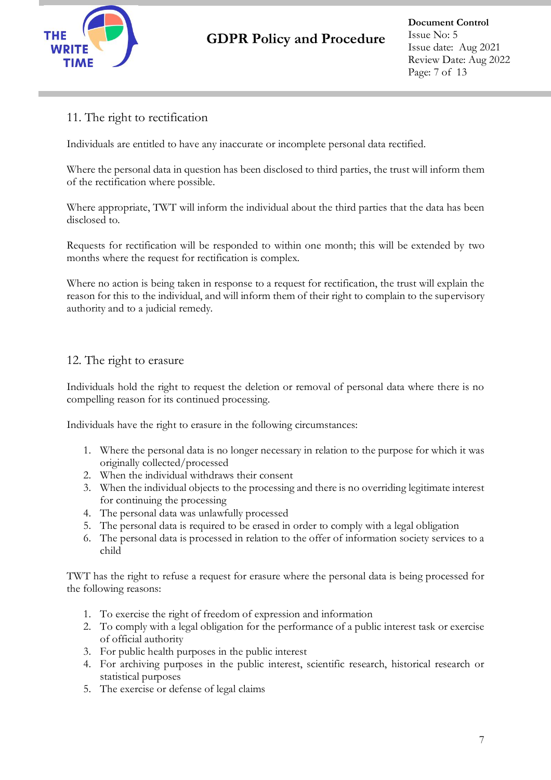

### 11. The right to rectification

Individuals are entitled to have any inaccurate or incomplete personal data rectified.

Where the personal data in question has been disclosed to third parties, the trust will inform them of the rectification where possible.

Where appropriate, TWT will inform the individual about the third parties that the data has been disclosed to.

Requests for rectification will be responded to within one month; this will be extended by two months where the request for rectification is complex.

Where no action is being taken in response to a request for rectification, the trust will explain the reason for this to the individual, and will inform them of their right to complain to the supervisory authority and to a judicial remedy.

#### 12. The right to erasure

Individuals hold the right to request the deletion or removal of personal data where there is no compelling reason for its continued processing.

Individuals have the right to erasure in the following circumstances:

- 1. Where the personal data is no longer necessary in relation to the purpose for which it was originally collected/processed
- 2. When the individual withdraws their consent
- 3. When the individual objects to the processing and there is no overriding legitimate interest for continuing the processing
- 4. The personal data was unlawfully processed
- 5. The personal data is required to be erased in order to comply with a legal obligation
- 6. The personal data is processed in relation to the offer of information society services to a child

TWT has the right to refuse a request for erasure where the personal data is being processed for the following reasons:

- 1. To exercise the right of freedom of expression and information
- 2. To comply with a legal obligation for the performance of a public interest task or exercise of official authority
- 3. For public health purposes in the public interest
- 4. For archiving purposes in the public interest, scientific research, historical research or statistical purposes
- 5. The exercise or defense of legal claims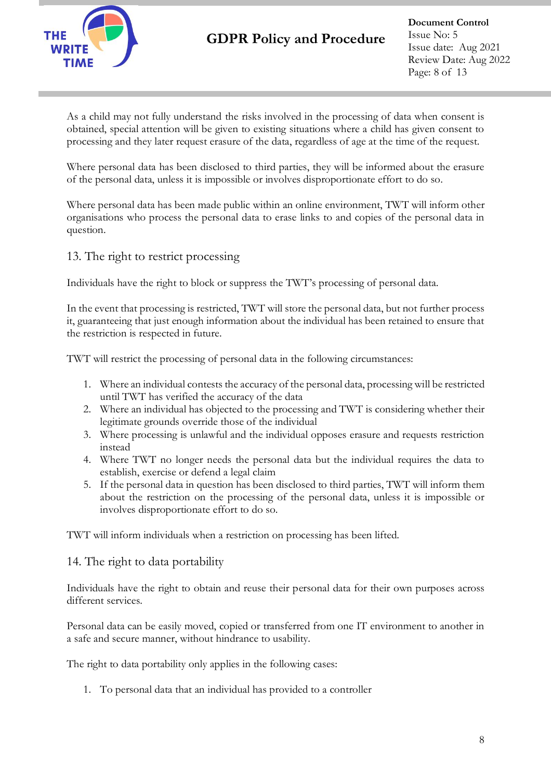

**Document Control** Issue No: 5 Issue date: Aug 2021 Review Date: Aug 2022 Page: 8 of 13

As a child may not fully understand the risks involved in the processing of data when consent is obtained, special attention will be given to existing situations where a child has given consent to processing and they later request erasure of the data, regardless of age at the time of the request.

Where personal data has been disclosed to third parties, they will be informed about the erasure of the personal data, unless it is impossible or involves disproportionate effort to do so.

Where personal data has been made public within an online environment, TWT will inform other organisations who process the personal data to erase links to and copies of the personal data in question.

#### 13. The right to restrict processing

Individuals have the right to block or suppress the TWT's processing of personal data.

In the event that processing is restricted, TWT will store the personal data, but not further process it, guaranteeing that just enough information about the individual has been retained to ensure that the restriction is respected in future.

TWT will restrict the processing of personal data in the following circumstances:

- 1. Where an individual contests the accuracy of the personal data, processing will be restricted until TWT has verified the accuracy of the data
- 2. Where an individual has objected to the processing and TWT is considering whether their legitimate grounds override those of the individual
- 3. Where processing is unlawful and the individual opposes erasure and requests restriction instead
- 4. Where TWT no longer needs the personal data but the individual requires the data to establish, exercise or defend a legal claim
- 5. If the personal data in question has been disclosed to third parties, TWT will inform them about the restriction on the processing of the personal data, unless it is impossible or involves disproportionate effort to do so.

TWT will inform individuals when a restriction on processing has been lifted.

#### 14. The right to data portability

Individuals have the right to obtain and reuse their personal data for their own purposes across different services.

Personal data can be easily moved, copied or transferred from one IT environment to another in a safe and secure manner, without hindrance to usability.

The right to data portability only applies in the following cases:

1. To personal data that an individual has provided to a controller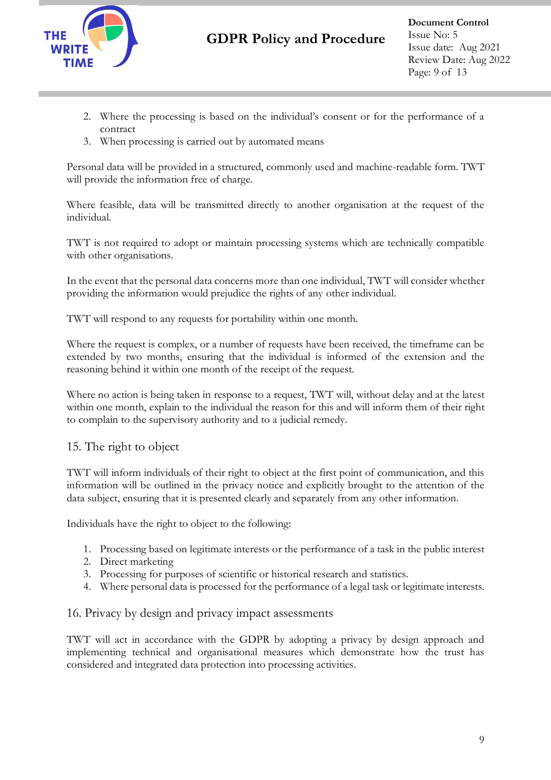

- 2. Where the processing is based on the individual's consent or for the performance of a contract
- 3. When processing is carried out by automated means

Personal data will be provided in a structured, commonly used and machine-readable form. TWT will provide the information free of charge.

Where feasible, data will be transmitted directly to another organisation at the request of the individual.

TWT is not required to adopt or maintain processing systems which are technically compatible with other organisations.

In the event that the personal data concerns more than one individual, TWT will consider whether providing the information would prejudice the rights of any other individual.

TWT will respond to any requests for portability within one month.

Where the request is complex, or a number of requests have been received, the timeframe can be extended by two months, ensuring that the individual is informed of the extension and the reasoning behind it within one month of the receipt of the request.

Where no action is being taken in response to a request, TWT will, without delay and at the latest within one month, explain to the individual the reason for this and will inform them of their right to complain to the supervisory authority and to a judicial remedy.

### 15. The right to object

TWT will inform individuals of their right to object at the first point of communication, and this information will be outlined in the privacy notice and explicitly brought to the attention of the data subject, ensuring that it is presented clearly and separately from any other information.

Individuals have the right to object to the following:

- 1. Processing based on legitimate interests or the performance of a task in the public interest
- 2. Direct marketing
- 3. Processing for purposes of scientific or historical research and statistics.
- 4. Where personal data is processed for the performance of a legal task or legitimate interests.

#### 16. Privacy by design and privacy impact assessments

TWT will act in accordance with the GDPR by adopting a privacy by design approach and implementing technical and organisational measures which demonstrate how the trust has considered and integrated data protection into processing activities.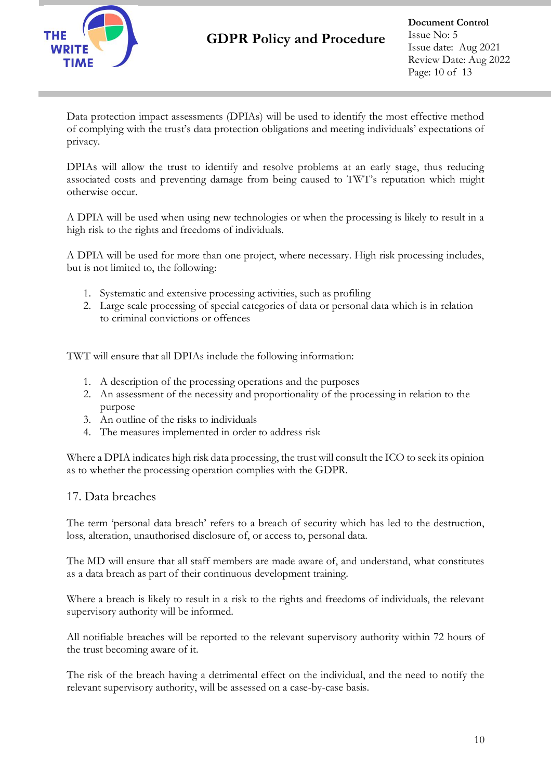

Data protection impact assessments (DPIAs) will be used to identify the most effective method of complying with the trust's data protection obligations and meeting individuals' expectations of privacy.

DPIAs will allow the trust to identify and resolve problems at an early stage, thus reducing associated costs and preventing damage from being caused to TWT's reputation which might otherwise occur.

A DPIA will be used when using new technologies or when the processing is likely to result in a high risk to the rights and freedoms of individuals.

A DPIA will be used for more than one project, where necessary. High risk processing includes, but is not limited to, the following:

- 1. Systematic and extensive processing activities, such as profiling
- 2. Large scale processing of special categories of data or personal data which is in relation to criminal convictions or offences

TWT will ensure that all DPIAs include the following information:

- 1. A description of the processing operations and the purposes
- 2. An assessment of the necessity and proportionality of the processing in relation to the purpose
- 3. An outline of the risks to individuals
- 4. The measures implemented in order to address risk

Where a DPIA indicates high risk data processing, the trust will consult the ICO to seek its opinion as to whether the processing operation complies with the GDPR.

#### 17. Data breaches

The term 'personal data breach' refers to a breach of security which has led to the destruction, loss, alteration, unauthorised disclosure of, or access to, personal data.

The MD will ensure that all staff members are made aware of, and understand, what constitutes as a data breach as part of their continuous development training.

Where a breach is likely to result in a risk to the rights and freedoms of individuals, the relevant supervisory authority will be informed.

All notifiable breaches will be reported to the relevant supervisory authority within 72 hours of the trust becoming aware of it.

The risk of the breach having a detrimental effect on the individual, and the need to notify the relevant supervisory authority, will be assessed on a case-by-case basis.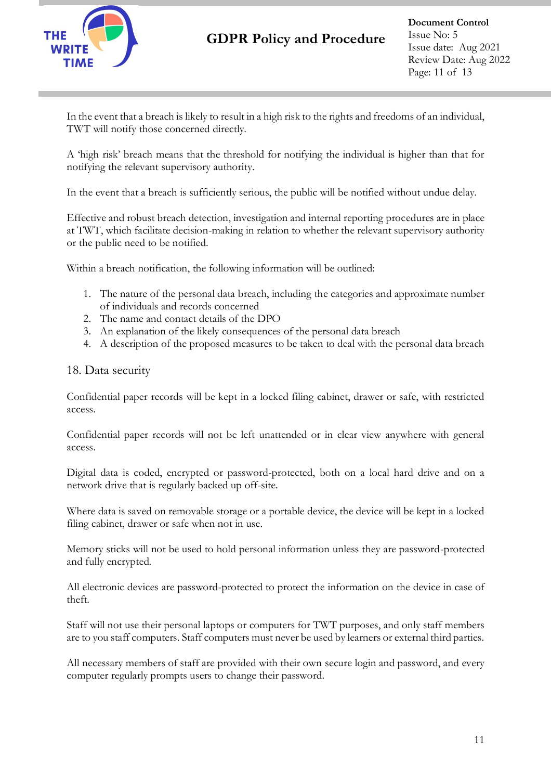

**Document Control** Issue No: 5 Issue date: Aug 2021 Review Date: Aug 2022 Page: 11 of 13

In the event that a breach is likely to result in a high risk to the rights and freedoms of an individual, TWT will notify those concerned directly.

A 'high risk' breach means that the threshold for notifying the individual is higher than that for notifying the relevant supervisory authority.

In the event that a breach is sufficiently serious, the public will be notified without undue delay.

Effective and robust breach detection, investigation and internal reporting procedures are in place at TWT, which facilitate decision-making in relation to whether the relevant supervisory authority or the public need to be notified.

Within a breach notification, the following information will be outlined:

- 1. The nature of the personal data breach, including the categories and approximate number of individuals and records concerned
- 2. The name and contact details of the DPO
- 3. An explanation of the likely consequences of the personal data breach
- 4. A description of the proposed measures to be taken to deal with the personal data breach

#### 18. Data security

Confidential paper records will be kept in a locked filing cabinet, drawer or safe, with restricted access.

Confidential paper records will not be left unattended or in clear view anywhere with general access.

Digital data is coded, encrypted or password-protected, both on a local hard drive and on a network drive that is regularly backed up off-site.

Where data is saved on removable storage or a portable device, the device will be kept in a locked filing cabinet, drawer or safe when not in use.

Memory sticks will not be used to hold personal information unless they are password-protected and fully encrypted.

All electronic devices are password-protected to protect the information on the device in case of theft.

Staff will not use their personal laptops or computers for TWT purposes, and only staff members are to you staff computers. Staff computers must never be used by learners or external third parties.

All necessary members of staff are provided with their own secure login and password, and every computer regularly prompts users to change their password.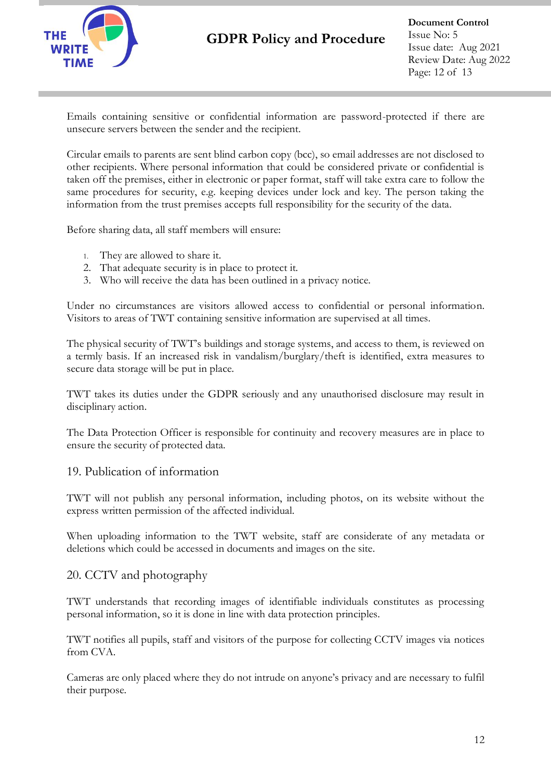

**Document Control** Issue No: 5 Issue date: Aug 2021 Review Date: Aug 2022 Page: 12 of 13

Emails containing sensitive or confidential information are password-protected if there are unsecure servers between the sender and the recipient.

Circular emails to parents are sent blind carbon copy (bcc), so email addresses are not disclosed to other recipients. Where personal information that could be considered private or confidential is taken off the premises, either in electronic or paper format, staff will take extra care to follow the same procedures for security, e.g. keeping devices under lock and key. The person taking the information from the trust premises accepts full responsibility for the security of the data.

Before sharing data, all staff members will ensure:

- 1. They are allowed to share it.
- 2. That adequate security is in place to protect it.
- 3. Who will receive the data has been outlined in a privacy notice.

Under no circumstances are visitors allowed access to confidential or personal information. Visitors to areas of TWT containing sensitive information are supervised at all times.

The physical security of TWT's buildings and storage systems, and access to them, is reviewed on a termly basis. If an increased risk in vandalism/burglary/theft is identified, extra measures to secure data storage will be put in place.

TWT takes its duties under the GDPR seriously and any unauthorised disclosure may result in disciplinary action.

The Data Protection Officer is responsible for continuity and recovery measures are in place to ensure the security of protected data.

#### 19. Publication of information

TWT will not publish any personal information, including photos, on its website without the express written permission of the affected individual.

When uploading information to the TWT website, staff are considerate of any metadata or deletions which could be accessed in documents and images on the site.

#### 20. CCTV and photography

TWT understands that recording images of identifiable individuals constitutes as processing personal information, so it is done in line with data protection principles.

TWT notifies all pupils, staff and visitors of the purpose for collecting CCTV images via notices from CVA.

Cameras are only placed where they do not intrude on anyone's privacy and are necessary to fulfil their purpose.